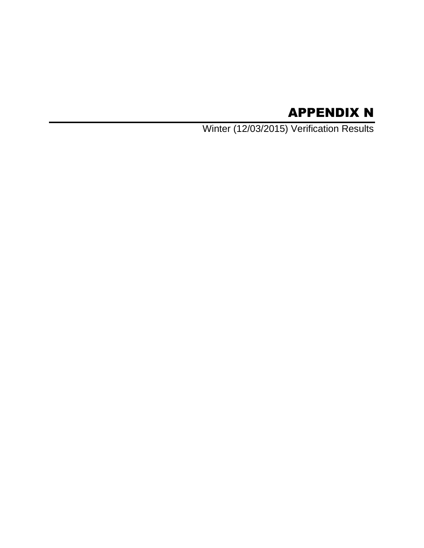# APPENDIX N

Winter (12/03/2015) Verification Results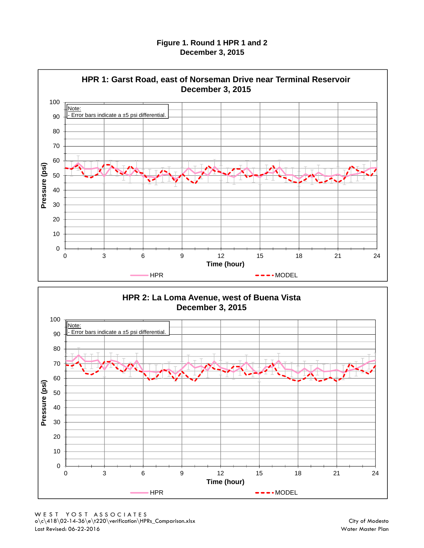#### **Figure 1. Round 1 HPR 1 and 2 December 3, 2015**



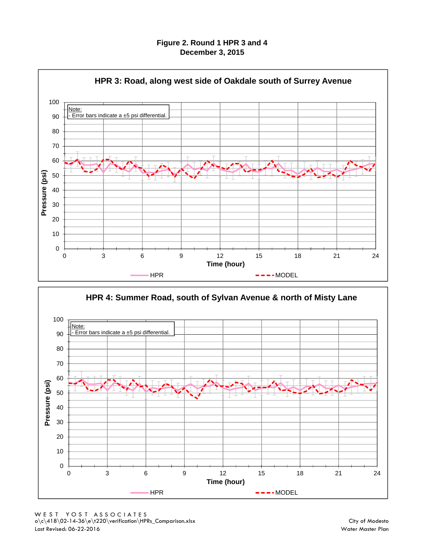#### **Figure 2. Round 1 HPR 3 and 4 December 3, 2015**



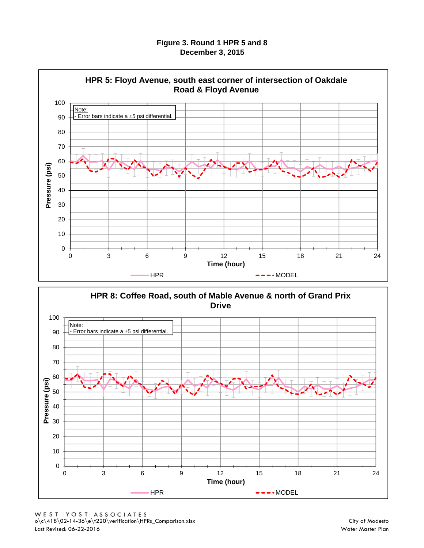#### **Figure 3. Round 1 HPR 5 and 8 December 3, 2015**



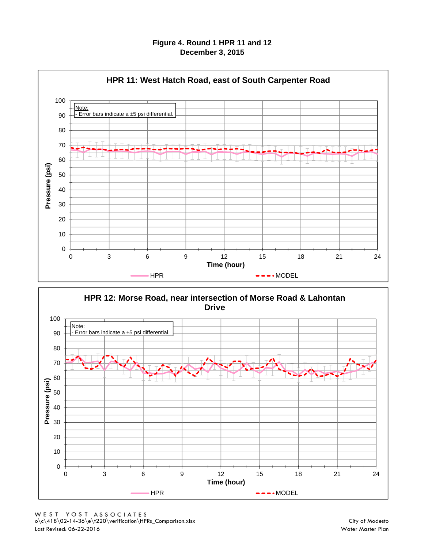#### **Figure 4. Round 1 HPR 11 and 12 December 3, 2015**



**HPR 12: Morse Road, near intersection of Morse Road & Lahontan Drive**

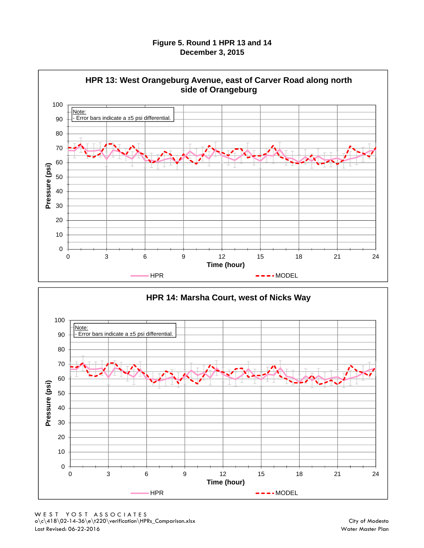#### **Figure 5. Round 1 HPR 13 and 14 December 3, 2015**



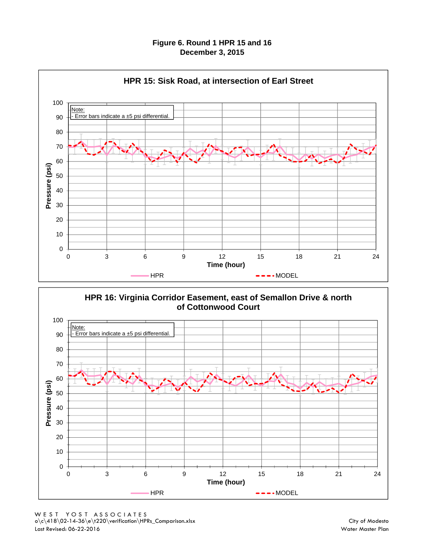#### **Figure 6. Round 1 HPR 15 and 16 December 3, 2015**



**HPR 16: Virginia Corridor Easement, east of Semallon Drive & north of Cottonwood Court**

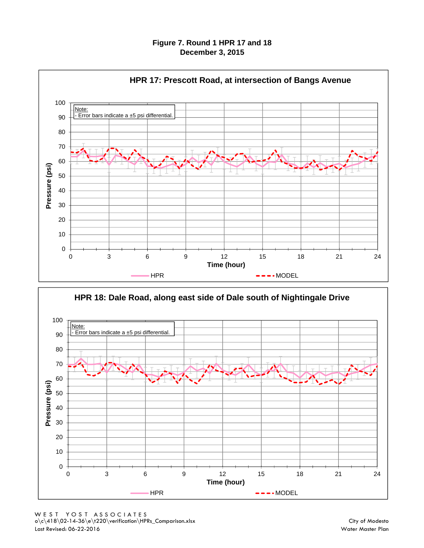#### **Figure 7. Round 1 HPR 17 and 18 December 3, 2015**



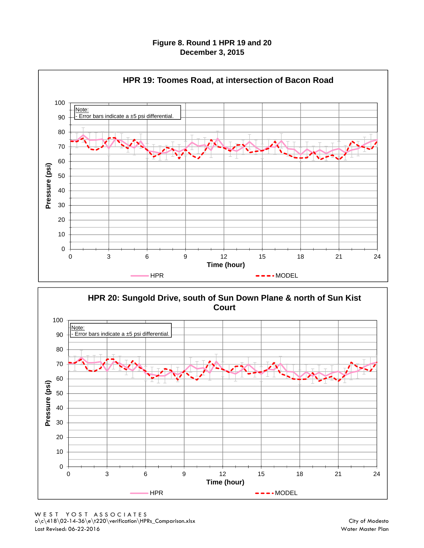#### **Figure 8. Round 1 HPR 19 and 20 December 3, 2015**





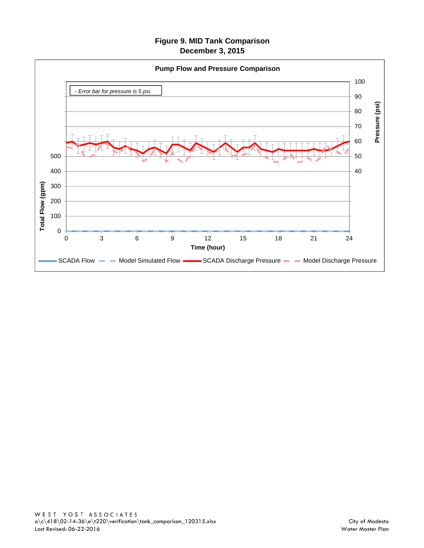## **Figure 9. MID Tank Comparison December 3, 2015**

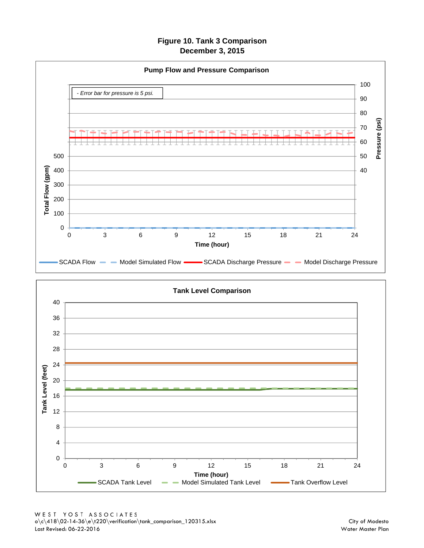**Figure 10. Tank 3 Comparison December 3, 2015**



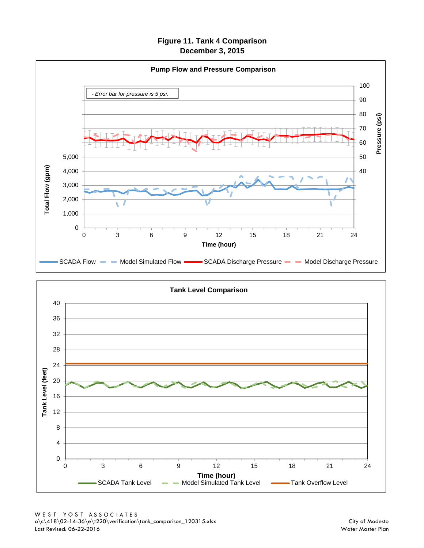**Figure 11. Tank 4 Comparison December 3, 2015**



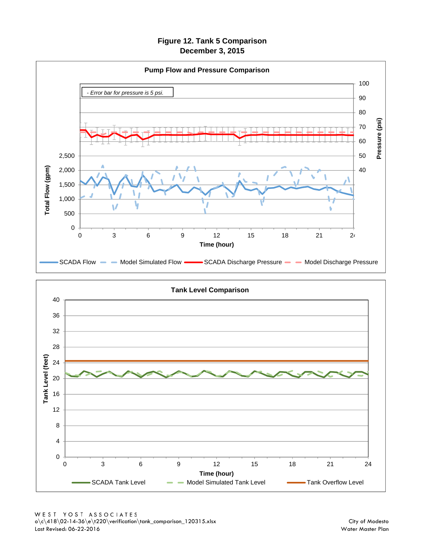**Figure 12. Tank 5 Comparison December 3, 2015**



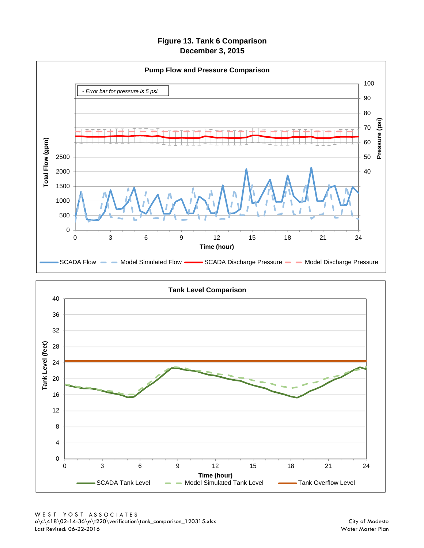**Figure 13. Tank 6 Comparison December 3, 2015**



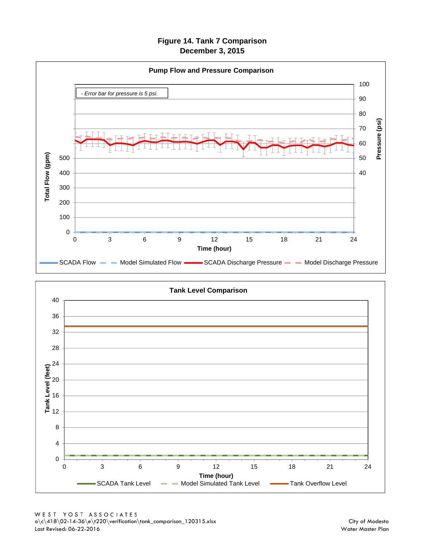**Figure 14. Tank 7 Compariso n December 3, 2015**



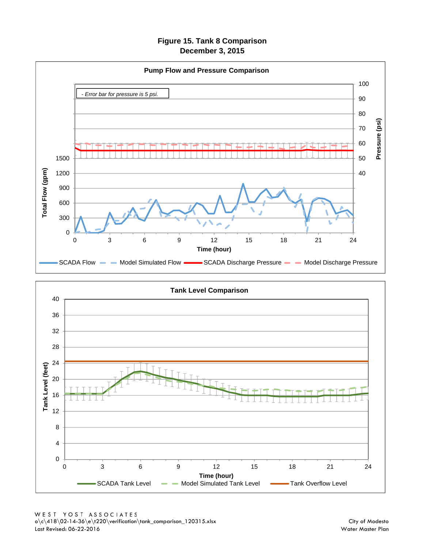**Figure 15. Tank 8 Comparison December 3, 2015**



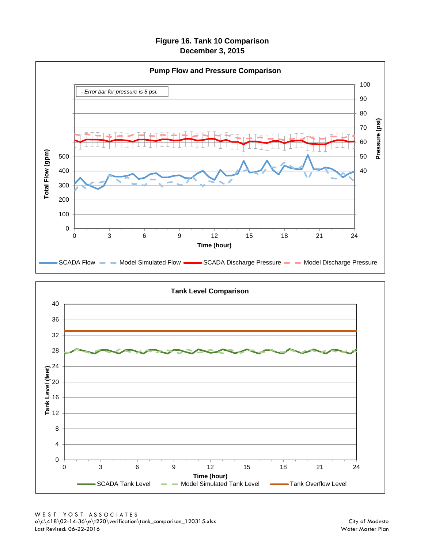#### **Figure 16. Tank 10 Comparison December 3, 2015**



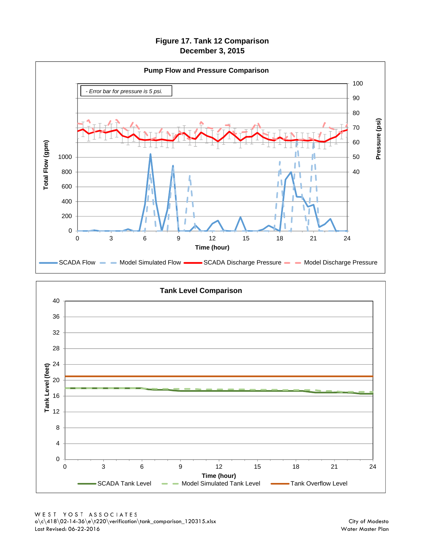**Figure 17. Tank 12 Comparison December 3, 2015**



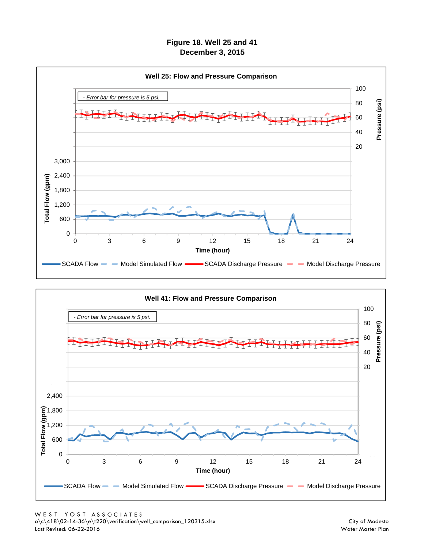**Figure 18. Well 25 and 41 December 3, 2015**



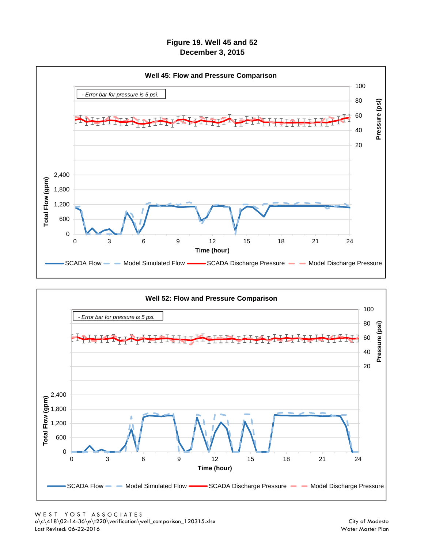**Figure 19. Well 45 and 52 December 3, 2015**



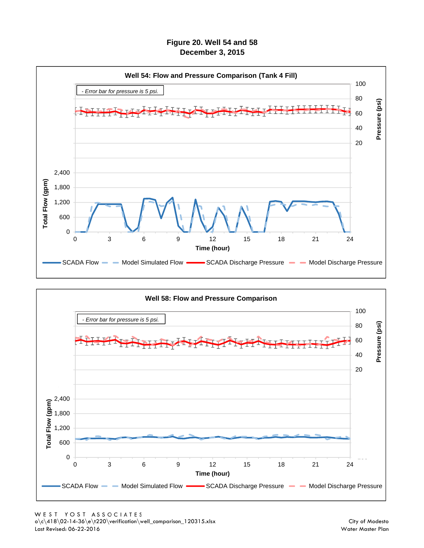**Figure 20. Well 54 and 58 December 3, 2015**



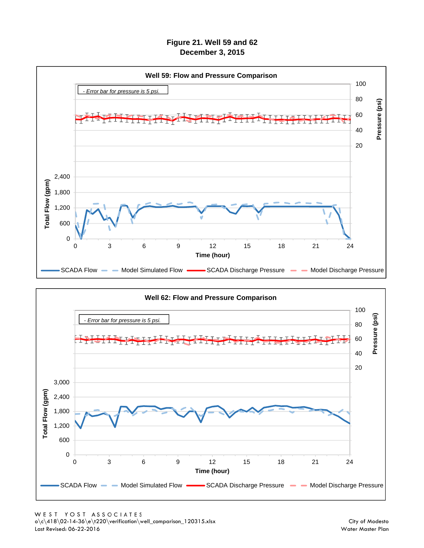**Figure 21. Well 59 and 62 December 3, 2015**



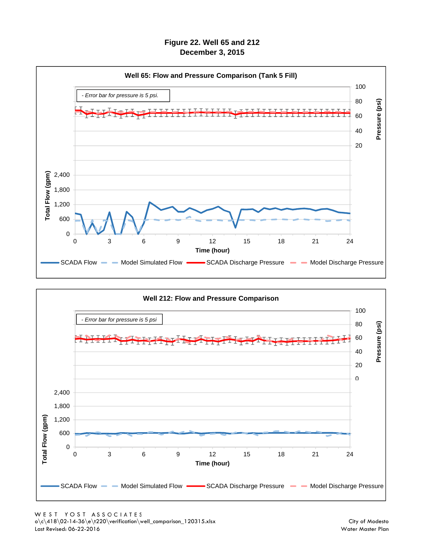**Figure 22. Well 65 and 212 December 3, 2015**



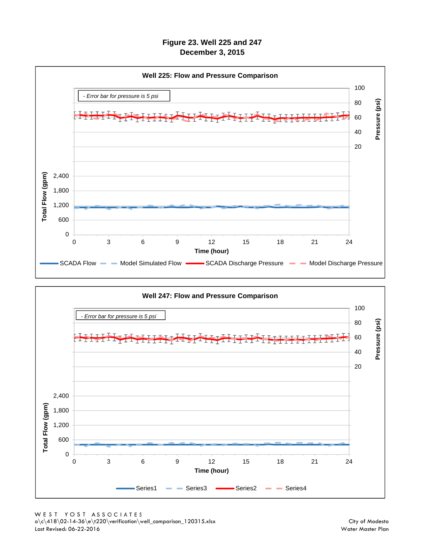**Figure 23. Well 225 and 247 December 3, 2015**



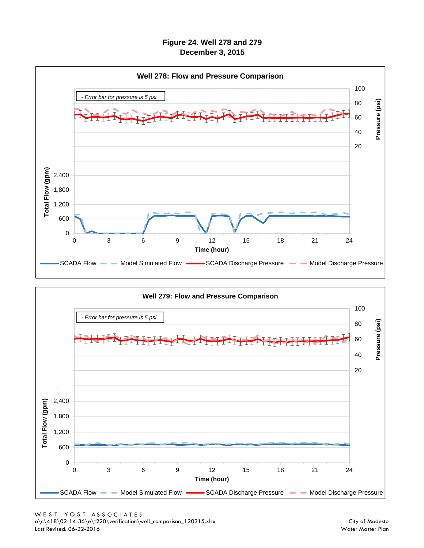**Figure 24. Well 278 and 279 December 3, 2015**



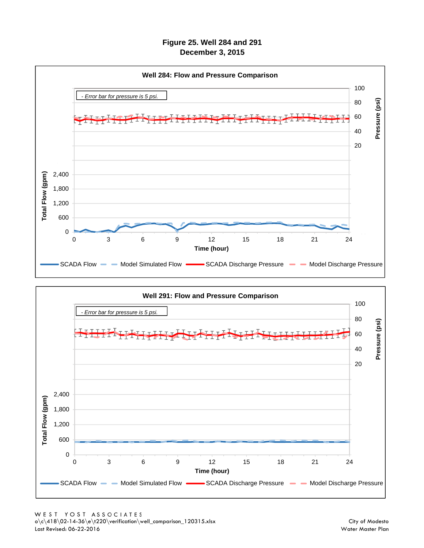## **Figure 25. Well 284 and 291 December 3, 2015**



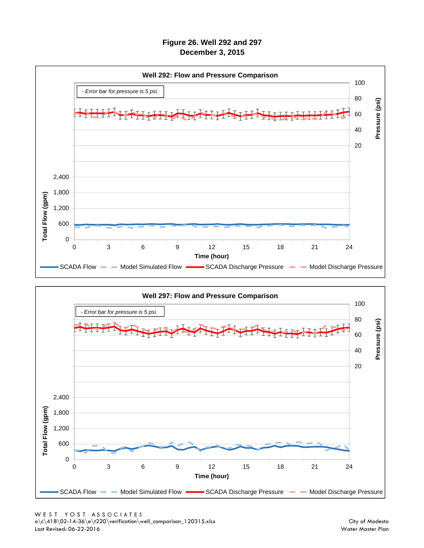## **Figure 26. Well 292 and 297 December 3, 2015**